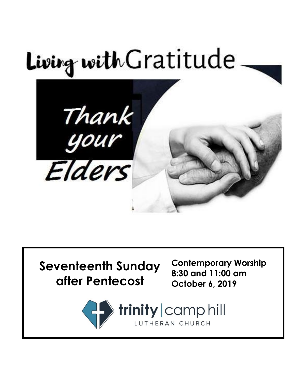# Living with Gratitude



## **Seventeenth Sunday after Pentecost**

**Contemporary Worship 8:30 and 11:00 am October 6, 2019**

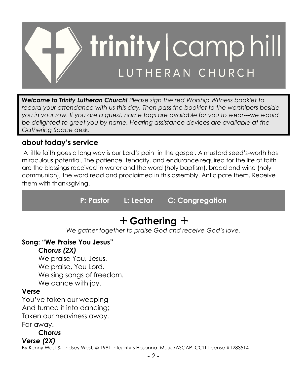

*Welcome to Trinity Lutheran Church! Please sign the red Worship Witness booklet to record your attendance with us this day. Then pass the booklet to the worshipers beside you in your row. If you are a guest, name tags are available for you to wear---we would be delighted to greet you by name. Hearing assistance devices are available at the Gathering Space desk.*

### **about today's service**

A little faith goes a long way is our Lord's point in the gospel. A mustard seed's-worth has miraculous potential. The patience, tenacity, and endurance required for the life of faith are the blessings received in water and the word (holy baptism), bread and wine (holy communion), the word read and proclaimed in this assembly. Anticipate them. Receive them with thanksgiving.

**P: Pastor L: Lector C: Congregation**

### + **Gathering** +

*We gather together to praise God and receive God's love.*

### **Song: "We Praise You Jesus"**

### *Chorus (2X)*

We praise You, Jesus, We praise, You Lord. We sing songs of freedom. We dance with joy.

### **Verse**

You've taken our weeping And turned it into dancing; Taken our heaviness away. Far away.

### *Chorus*

### *Verse (2X)*

By Kenny West & Lindsey West; © 1991 Integrity's Hosanna! Music/ASCAP. CCLI License #1283514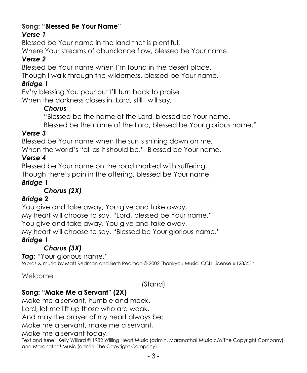### **Song: "Blessed Be Your Name"**

### *Verse 1*

Blessed be Your name in the land that is plentiful,

Where Your streams of abundance flow, blessed be Your name.

### *Verse 2*

Blessed be Your name when I'm found in the desert place,

Though I walk through the wilderness, blessed be Your name.

### *Bridge 1*

Ev'ry blessing You pour out I'll turn back to praise When the darkness closes in, Lord, still I will say,

### *Chorus*

"Blessed be the name of the Lord, blessed be Your name.

Blessed be the name of the Lord, blessed be Your glorious name."

### *Verse 3*

Blessed be Your name when the sun's shining down on me,

When the world's "all as it should be." Blessed be Your name.

### *Verse 4*

Blessed be Your name on the road marked with suffering,

Though there's pain in the offering, blessed be Your name.

### *Bridge 1*

### *Chorus (2X)*

### *Bridge 2*

You give and take away, You give and take away,

My heart will choose to say, "Lord, blessed be Your name."

You give and take away, You give and take away,

My heart will choose to say, "Blessed be Your glorious name."

### *Bridge 1*

### *Chorus (3X)*

**Tag:** "Your glorious name."

Words & music by Matt Redman and Beth Redman © 2002 Thankyou Music. CCLI License #1283514

Welcome

(Stand)

### **Song: "Make Me a Servant" (2X)**

Make me a servant, humble and meek.

Lord, let me lift up those who are weak.

And may the prayer of my heart always be:

Make me a servant, make me a servant,

Make me a servant today.

Text and tune: Kelly Willard © 1982 Willing Heart Music (admin. Maranatha! Music c/o The Copyright Company) and Maranatha! Music (admin. The Copyright Company).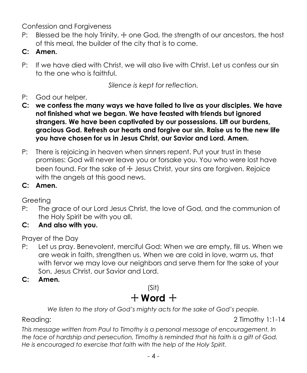Confession and Forgiveness

- P: Blessed be the holy Trinity,  $\pm$  one God, the strength of our ancestors, the host of this meal, the builder of the city that is to come.
- **C: Amen.**
- P: If we have died with Christ, we will also live with Christ. Let us confess our sin to the one who is faithful.

*Silence is kept for reflection.*

- P: God our helper,
- **C: we confess the many ways we have failed to live as your disciples. We have not finished what we began. We have feasted with friends but ignored strangers. We have been captivated by our possessions. Lift our burdens, gracious God. Refresh our hearts and forgive our sin. Raise us to the new life you have chosen for us in Jesus Christ, our Savior and Lord. Amen.**
- P: There is rejoicing in heaven when sinners repent. Put your trust in these promises: God will never leave you or forsake you. You who were lost have been found. For the sake of  $\pm$  Jesus Christ, your sins are forgiven. Rejoice with the angels at this good news.
- **C: Amen.**

Greeting

- P: The grace of our Lord Jesus Christ, the love of God, and the communion of the Holy Spirit be with you all.
- **C: And also with you.**

Prayer of the Day

- P: Let us pray. Benevolent, merciful God: When we are empty, fill us. When we are weak in faith, strengthen us. When we are cold in love, warm us, that with fervor we may love our neighbors and serve them for the sake of your Son, Jesus Christ, our Savior and Lord.
- **C: Amen.**

### (Sit) + **Word** +

*We listen to the story of God's mighty acts for the sake of God's people.*

Reading: 2 Timothy 1:1-14

*This message written from Paul to Timothy is a personal message of encouragement. In the face of hardship and persecution, Timothy is reminded that his faith is a gift of God. He is encouraged to exercise that faith with the help of the Holy Spirit.*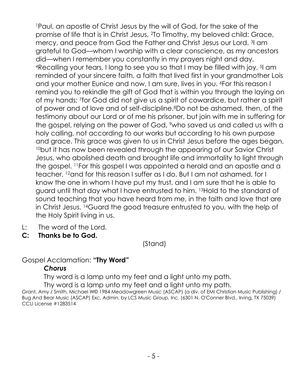<sup>1</sup>Paul, an apostle of Christ Jesus by the will of God, for the sake of the promise of life that is in Christ Jesus, <sup>2</sup>To Timothy, my beloved child: Grace, mercy, and peace from God the Father and Christ Jesus our Lord. <sup>3</sup> I am grateful to God—whom I worship with a clear conscience, as my ancestors did—when I remember you constantly in my prayers night and day. <sup>4</sup>Recalling your tears, I long to see you so that I may be filled with joy. 5 I am reminded of your sincere faith, a faith that lived first in your grandmother Lois and your mother Eunice and now, I am sure, lives in you. <sup>6</sup>For this reason I remind you to rekindle the gift of God that is within you through the laying on of my hands; <sup>7</sup> for God did not give us a spirit of cowardice, but rather a spirit of power and of love and of self-discipline.8Do not be ashamed, then, of the testimony about our Lord or of me his prisoner, but join with me in suffering for the gospel, relying on the power of God, <sup>9</sup>who saved us and called us with a holy calling, not according to our works but according to his own purpose and grace. This grace was given to us in Christ Jesus before the ages began, <sup>10</sup>but it has now been revealed through the appearing of our Savior Christ Jesus, who abolished death and brought life and immortality to light through the gospel. <sup>11</sup>For this gospel I was appointed a herald and an apostle and a teacher, <sup>12</sup>and for this reason I suffer as I do. But I am not ashamed, for I know the one in whom I have put my trust, and I am sure that he is able to guard until that day what I have entrusted to him. <sup>13</sup>Hold to the standard of sound teaching that you have heard from me, in the faith and love that are in Christ Jesus. <sup>14</sup>Guard the good treasure entrusted to you, with the help of the Holy Spirit living in us.

- L: The word of the Lord.
- **C: Thanks be to God.**

(Stand)

### Gospel Acclamation: **"Thy Word"**

### *Chorus*

Thy word is a lamp unto my feet and a light unto my path.

Thy word is a lamp unto my feet and a light unto my path.

Grant, Amy / Smith, Michael W© 1984 Meadowgreen Music (ASCAP) (a div. of EMI Christian Music Publishing) / Bug And Bear Music (ASCAP) Exc. Admin. by LCS Music Group, Inc. (6301 N. O'Conner Blvd., Irving, TX 75039) CCLI License #1283514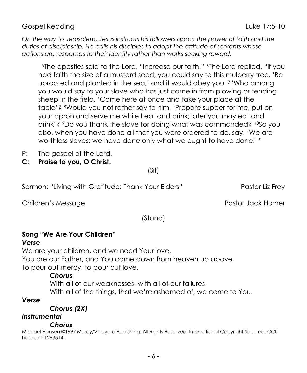### Gospel Reading Luke 17:5-10

*On the way to Jerusalem, Jesus instructs his followers about the power of faith and the duties of discipleship. He calls his disciples to adopt the attitude of servants whose actions are responses to their identity rather than works seeking reward.*

<sup>5</sup>The apostles said to the Lord, "Increase our faith!" <sup>6</sup>The Lord replied, "If you had faith the size of a mustard seed, you could say to this mulberry tree, 'Be uprooted and planted in the sea,' and it would obey you. <sup>7</sup>"Who among you would say to your slave who has just come in from plowing or tending sheep in the field, 'Come here at once and take your place at the table'? <sup>8</sup>Would you not rather say to him, 'Prepare supper for me, put on your apron and serve me while I eat and drink; later you may eat and drink'? <sup>9</sup>Do you thank the slave for doing what was commanded? <sup>10</sup>So you also, when you have done all that you were ordered to do, say, 'We are worthless slaves; we have done only what we ought to have done!' "

- P: The gospel of the Lord.
- **C: Praise to you, O Christ.**

(Sit)

Sermon: "Living with Gratitude: Thank Your Elders" Pastor Liz Frey

Children's Message **Pastor Jack Horner** Pastor Jack Horner

(Stand)

### **Song "We Are Your Children"**

### *Verse*

We are your children, and we need Your love. You are our Father, and You come down from heaven up above, To pour out mercy, to pour out love.

### *Chorus*

With all of our weaknesses, with all of our failures, With all of the things, that we're ashamed of, we come to You.

### *Verse*

### *Chorus (2X)*

### *Instrumental*

#### *Chorus*

Michael Hansen ©1997 Mercy/Vineyard Publishing. All Rights Reserved. International Copyright Secured. CCLI License #1283514.

- 6 -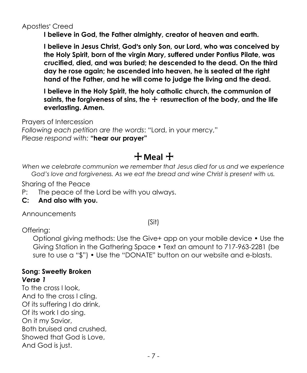Apostles' Creed

**I believe in God, the Father almighty, creator of heaven and earth.**

**I believe in Jesus Christ, God's only Son, our Lord, who was conceived by the Holy Spirit, born of the virgin Mary, suffered under Pontius Pilate, was crucified, died, and was buried; he descended to the dead. On the third day he rose again; he ascended into heaven, he is seated at the right hand of the Father, and he will come to judge the living and the dead.**

**I believe in the Holy Spirit, the holy catholic church, the communion of saints, the forgiveness of sins, the** + **resurrection of the body, and the life everlasting. Amen.**

Prayers of Intercession

*Following each petition are the words*: "Lord, in your mercy," *Please respond with:* **"hear our prayer"**

### + **Meal** +

*When we celebrate communion we remember that Jesus died for us and we experience God's love and forgiveness. As we eat the bread and wine Christ is present with us.*

Sharing of the Peace

P: The peace of the Lord be with you always.

### **C: And also with you.**

Announcements

(Sit)

Offering:

Optional giving methods: Use the Give+ app on your mobile device • Use the Giving Station in the Gathering Space • Text an amount to 717-963-2281 (be sure to use a "\$") • Use the "DONATE" button on our website and e-blasts.

#### **Song: Sweetly Broken** *Verse 1*

To the cross I look, And to the cross I cling. Of its suffering I do drink, Of its work I do sing. On it my Savior, Both bruised and crushed, Showed that God is Love, And God is just.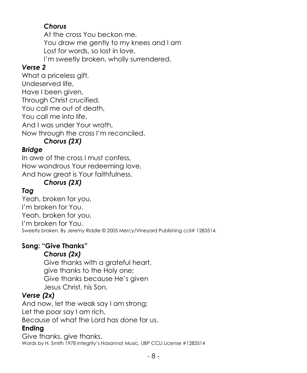### *Chorus*

At the cross You beckon me, You draw me gently to my knees and I am Lost for words, so lost in love, I'm sweetly broken, wholly surrendered.

### *Verse 2*

What a priceless gift, Undeserved life, Have I been given, Through Christ crucified. You call me out of death, You call me into life, And I was under Your wrath, Now through the cross I'm reconciled.

### *Chorus (2X)*

### *Bridge*

In awe of the cross I must confess, How wondrous Your redeeming love, And how great is Your faithfulness.

### *Chorus (2X)*

### *Tag*

Yeah, broken for you, I'm broken for You. Yeah, broken for you, I'm broken for You. Sweetly broken. By Jeremy Riddle © 2005 Mercy/Vineyard Publishing ccli# 1283514.

### **Song: "Give Thanks"**

### *Chorus (2x)*

Give thanks with a grateful heart, give thanks to the Holy one; Give thanks because He's given Jesus Christ, his Son.

### *Verse (2x)*

And now, let the weak say I am strong; Let the poor say I am rich, Because of what the Lord has done for us.

### **Ending**

Give thanks, give thanks. Words by H. Smith 1978 Integrity's Hosanna! Music, UBP CCLI License #1283514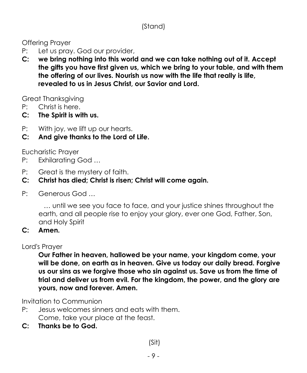### (Stand)

Offering Prayer

- P: Let us pray. God our provider,
- **C: we bring nothing into this world and we can take nothing out of it. Accept the gifts you have first given us, which we bring to your table, and with them the offering of our lives. Nourish us now with the life that really is life, revealed to us in Jesus Christ, our Savior and Lord.**

Great Thanksgiving

- P: Christ is here.
- **C: The Spirit is with us.**
- P: With joy, we lift up our hearts.
- **C: And give thanks to the Lord of Life.**

Eucharistic Prayer

- P: Exhilarating God …
- P: Great is the mystery of faith.
- **C: Christ has died; Christ is risen; Christ will come again.**
- P: Generous God …

… until we see you face to face, and your justice shines throughout the earth, and all people rise to enjoy your glory, ever one God, Father, Son, and Holy Spirit

**C: Amen.**

Lord's Prayer

**Our Father in heaven, hallowed be your name, your kingdom come, your will be done, on earth as in heaven. Give us today our daily bread. Forgive us our sins as we forgive those who sin against us. Save us from the time of trial and deliver us from evil. For the kingdom, the power, and the glory are yours, now and forever. Amen.**

Invitation to Communion

- P: Jesus welcomes sinners and eats with them. Come, take your place at the feast.
- **C: Thanks be to God.**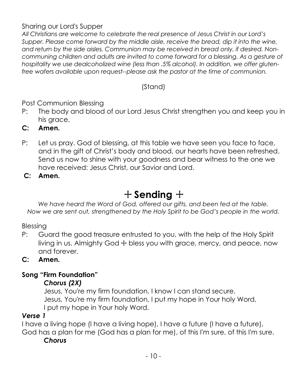### Sharing our Lord's Supper

*All Christians are welcome to celebrate the real presence of Jesus Christ in our Lord's Supper. Please come forward by the middle aisle, receive the bread, dip it into the wine, and return by the side aisles. Communion may be received in bread only, if desired. Noncommuning children and adults are invited to come forward for a blessing. As a gesture of hospitality we use dealcoholized wine (less than .5% alcohol). In addition, we offer glutenfree wafers available upon request--please ask the pastor at the time of communion.*

(Stand)

Post Communion Blessing

- P: The body and blood of our Lord Jesus Christ strengthen you and keep you in his grace.
- **C: Amen.**
- P: Let us pray. God of blessing, at this table we have seen you face to face, and in the gift of Christ's body and blood, our hearts have been refreshed. Send us now to shine with your goodness and bear witness to the one we have received: Jesus Christ, our Savior and Lord.
- **C: Amen.**

### + **Sending** +

*We have heard the Word of God, offered our gifts, and been fed at the table. Now we are sent out, strengthened by the Holy Spirit to be God's people in the world.* 

### Blessing

- P: Guard the good treasure entrusted to you, with the help of the Holy Spirit living in us. Almighty God + bless you with grace, mercy, and peace, now and forever.
- **C: Amen.**

### **Song "Firm Foundation"**

### *Chorus (2X)*

Jesus, You're my firm foundation, I know I can stand secure. Jesus, You're my firm foundation, I put my hope in Your holy Word, I put my hope in Your holy Word.

### *Verse 1*

I have a living hope (I have a living hope), I have a future (I have a future), God has a plan for me (God has a plan for me), of this I'm sure, of this I'm sure.

### *Chorus*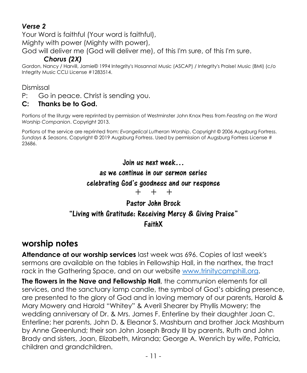### *Verse 2*

Your Word is faithful (Your word is faithful),

Mighty with power (Mighty with power),

God will deliver me (God will deliver me), of this I'm sure, of this I'm sure.

### *Chorus (2X)*

Gordon, Nancy / Harvill, Jamie© 1994 Integrity's Hosanna! Music (ASCAP) / Integrity's Praise! Music (BMI) (c/o Integrity Music CCLI License #1283514.

### Dismissal

P: Go in peace. Christ is sending you.

### **C: Thanks be to God.**

Portions of the liturgy were reprinted by permission of Westminster John Knox Press from *Feasting on the Word Worship Companion*. Copyright 2013.

Portions of the service are reprinted from: *Evangelical Lutheran Worship*, Copyright © 2006 Augsburg Fortress. *Sundays & Seasons*, Copyright © 2019 Augsburg Fortress. Used by permission of Augsburg Fortress License # 23686.

> Join us next week… as we continue in our sermon series celebrating God's goodness and our response + + + Pastor John Brock "Living with Gratitude: Receiving Mercy & Giving Praise"

### FaithX

### **worship notes**

**Attendance at our worship services** last week was 696. Copies of last week's sermons are available on the tables in Fellowship Hall, in the narthex, the tract rack in the Gathering Space, and on our website [www.trinitycamphill.org.](http://www.trinitycamphill.org/)

**The flowers in the Nave and Fellowship Hall**, the communion elements for all services, and the sanctuary lamp candle, the symbol of God's abiding presence, are presented to the glory of God and in loving memory of our parents, Harold & Mary Mowery and Harold "Whitey" & Averil Shearer by Phyllis Mowery; the wedding anniversary of Dr. & Mrs. James F. Enterline by their daughter Joan C. Enterline; her parents, John D. & Eleanor S. Mashburn and brother Jack Mashburn by Anne Greenlund; their son John Joseph Brady III by parents, Ruth and John Brady and sisters, Joan, Elizabeth, Miranda; George A. Wenrich by wife, Patricia, children and grandchildren.